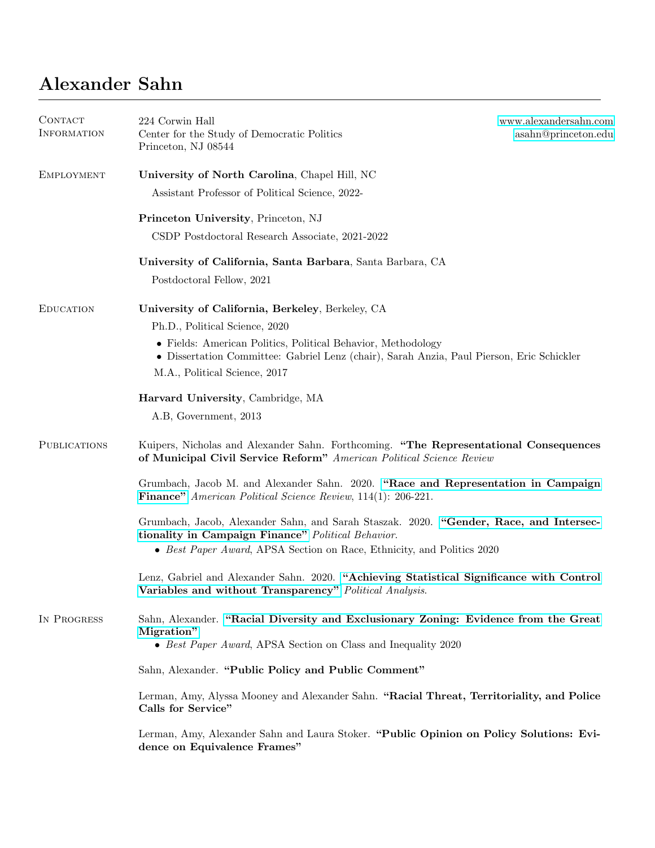## Alexander Sahn

| CONTACT<br><b>INFORMATION</b> | 224 Corwin Hall<br>Center for the Study of Democratic Politics<br>Princeton, NJ 08544                                                                                                      | www.alexandersahn.com<br>asahn@princeton.edu |
|-------------------------------|--------------------------------------------------------------------------------------------------------------------------------------------------------------------------------------------|----------------------------------------------|
| <b>EMPLOYMENT</b>             | University of North Carolina, Chapel Hill, NC                                                                                                                                              |                                              |
|                               | Assistant Professor of Political Science, 2022-                                                                                                                                            |                                              |
|                               | Princeton University, Princeton, NJ                                                                                                                                                        |                                              |
|                               | CSDP Postdoctoral Research Associate, 2021-2022                                                                                                                                            |                                              |
|                               | University of California, Santa Barbara, Santa Barbara, CA                                                                                                                                 |                                              |
|                               | Postdoctoral Fellow, 2021                                                                                                                                                                  |                                              |
| <b>EDUCATION</b>              | University of California, Berkeley, Berkeley, CA                                                                                                                                           |                                              |
|                               | Ph.D., Political Science, 2020                                                                                                                                                             |                                              |
|                               | • Fields: American Politics, Political Behavior, Methodology<br>• Dissertation Committee: Gabriel Lenz (chair), Sarah Anzia, Paul Pierson, Eric Schickler<br>M.A., Political Science, 2017 |                                              |
|                               |                                                                                                                                                                                            |                                              |
|                               | Harvard University, Cambridge, MA<br>A.B, Government, 2013                                                                                                                                 |                                              |
|                               |                                                                                                                                                                                            |                                              |
| <b>PUBLICATIONS</b>           | Kuipers, Nicholas and Alexander Sahn. Forthcoming. "The Representational Consequences<br>of Municipal Civil Service Reform" American Political Science Review                              |                                              |
|                               | Grumbach, Jacob M. and Alexander Sahn. 2020. "Race and Representation in Campaign<br><b>Finance</b> " American Political Science Review, 114(1): 206-221.                                  |                                              |
|                               | Grumbach, Jacob, Alexander Sahn, and Sarah Staszak. 2020. "Gender, Race, and Intersec-<br>tionality in Campaign Finance" Political Behavior.                                               |                                              |
|                               | • Best Paper Award, APSA Section on Race, Ethnicity, and Politics 2020                                                                                                                     |                                              |
|                               | Lenz, Gabriel and Alexander Sahn. 2020. "Achieving Statistical Significance with Control<br>Variables and without Transparency" Political Analysis.                                        |                                              |
| IN PROGRESS                   | Sahn, Alexander. "Racial Diversity and Exclusionary Zoning: Evidence from the Great<br>Migration"                                                                                          |                                              |
|                               | • Best Paper Award, APSA Section on Class and Inequality 2020                                                                                                                              |                                              |
|                               | Sahn, Alexander. "Public Policy and Public Comment"                                                                                                                                        |                                              |
|                               | Lerman, Amy, Alyssa Mooney and Alexander Sahn. "Racial Threat, Territoriality, and Police<br>Calls for Service"                                                                            |                                              |
|                               | Lerman, Amy, Alexander Sahn and Laura Stoker. "Public Opinion on Policy Solutions: Evi-<br>dence on Equivalence Frames"                                                                    |                                              |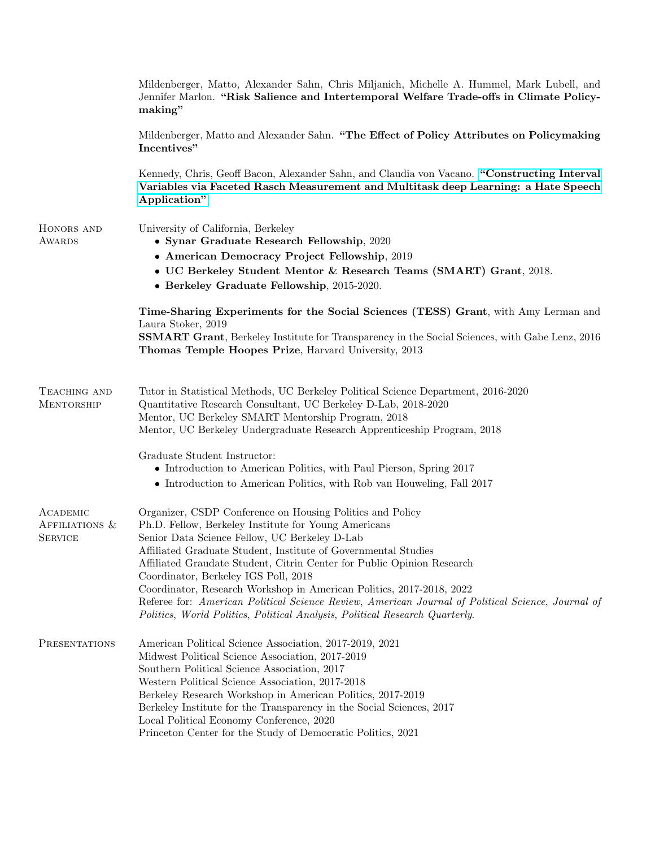|                                              | Mildenberger, Matto, Alexander Sahn, Chris Miljanich, Michelle A. Hummel, Mark Lubell, and<br>Jennifer Marlon. "Risk Salience and Intertemporal Welfare Trade-offs in Climate Policy-<br>making"                                                                                                                                                                                                                                                                                                                                                                                                                   |
|----------------------------------------------|--------------------------------------------------------------------------------------------------------------------------------------------------------------------------------------------------------------------------------------------------------------------------------------------------------------------------------------------------------------------------------------------------------------------------------------------------------------------------------------------------------------------------------------------------------------------------------------------------------------------|
|                                              | Mildenberger, Matto and Alexander Sahn. "The Effect of Policy Attributes on Policymaking<br>Incentives"                                                                                                                                                                                                                                                                                                                                                                                                                                                                                                            |
|                                              | Kennedy, Chris, Geoff Bacon, Alexander Sahn, and Claudia von Vacano. "Constructing Interval<br>Variables via Faceted Rasch Measurement and Multitask deep Learning: a Hate Speech<br>Application"                                                                                                                                                                                                                                                                                                                                                                                                                  |
| HONORS AND<br><b>AWARDS</b>                  | University of California, Berkeley<br>• Synar Graduate Research Fellowship, 2020                                                                                                                                                                                                                                                                                                                                                                                                                                                                                                                                   |
|                                              | • American Democracy Project Fellowship, 2019<br>• UC Berkeley Student Mentor & Research Teams (SMART) Grant, 2018.<br>• Berkeley Graduate Fellowship, 2015-2020.                                                                                                                                                                                                                                                                                                                                                                                                                                                  |
|                                              | Time-Sharing Experiments for the Social Sciences (TESS) Grant, with Amy Lerman and<br>Laura Stoker, 2019<br><b>SSMART Grant</b> , Berkeley Institute for Transparency in the Social Sciences, with Gabe Lenz, 2016<br>Thomas Temple Hoopes Prize, Harvard University, 2013                                                                                                                                                                                                                                                                                                                                         |
| TEACHING AND<br><b>MENTORSHIP</b>            | Tutor in Statistical Methods, UC Berkeley Political Science Department, 2016-2020<br>Quantitative Research Consultant, UC Berkeley D-Lab, 2018-2020<br>Mentor, UC Berkeley SMART Mentorship Program, 2018<br>Mentor, UC Berkeley Undergraduate Research Apprenticeship Program, 2018                                                                                                                                                                                                                                                                                                                               |
|                                              | Graduate Student Instructor:<br>• Introduction to American Politics, with Paul Pierson, Spring 2017<br>• Introduction to American Politics, with Rob van Houweling, Fall 2017                                                                                                                                                                                                                                                                                                                                                                                                                                      |
| ACADEMIC<br>AFFILIATIONS &<br><b>SERVICE</b> | Organizer, CSDP Conference on Housing Politics and Policy<br>Ph.D. Fellow, Berkeley Institute for Young Americans<br>Senior Data Science Fellow, UC Berkeley D-Lab<br>Affiliated Graduate Student, Institute of Governmental Studies<br>Affiliated Graudate Student, Citrin Center for Public Opinion Research<br>Coordinator, Berkeley IGS Poll, 2018<br>Coordinator, Research Workshop in American Politics, 2017-2018, 2022<br>Referee for: American Political Science Review, American Journal of Political Science, Journal of<br>Politics, World Politics, Political Analysis, Political Research Quarterly. |
| PRESENTATIONS                                | American Political Science Association, 2017-2019, 2021<br>Midwest Political Science Association, 2017-2019<br>Southern Political Science Association, 2017<br>Western Political Science Association, 2017-2018<br>Berkeley Research Workshop in American Politics, 2017-2019<br>Berkeley Institute for the Transparency in the Social Sciences, 2017<br>Local Political Economy Conference, 2020<br>Princeton Center for the Study of Democratic Politics, 2021                                                                                                                                                   |